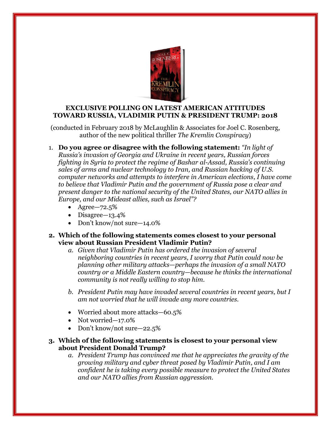

## **EXCLUSIVE POLLING ON LATEST AMERICAN ATTITUDES TOWARD RUSSIA, VLADIMIR PUTIN & PRESIDENT TRUMP: 2018**

(conducted in February 2018 by McLaughlin & Associates for Joel C. Rosenberg, author of the new political thriller *The Kremlin Conspiracy*)

1. **Do you agree or disagree with the following statement:** *"In light of Russia's invasion of Georgia and Ukraine in recent years, Russian forces fighting in Syria to protect the regime of Bashar al-Assad, Russia's continuing sales of arms and nuclear technology to Iran, and Russian hacking of U.S. computer networks and attempts to interfere in American elections, I have come to believe that Vladimir Putin and the government of Russia pose a clear and present danger to the national security of the United States, our NATO allies in Europe, and our Mideast allies, such as Israel"?*

- Agree—72.5%
- Disagree—13.4%
- Don't know/not sure -14.0%

### **2. Which of the following statements comes closest to your personal view about Russian President Vladimir Putin?**

- *a. Given that Vladimir Putin has ordered the invasion of several neighboring countries in recent years, I worry that Putin could now be planning other military attacks*—*perhaps the invasion of a small NATO country or a Middle Eastern country*—*because he thinks the international community is not really willing to stop him.*
- *b. President Putin may have invaded several countries in recent years, but I am not worried that he will invade any more countries.*
- Worried about more attacks—60.5%
- Not worried—17.0%
- Don't know/not sure-22.5%

### **3. Which of the following statements is closest to your personal view about President Donald Trump?**

*a. President Trump has convinced me that he appreciates the gravity of the growing military and cyber threat posed by Vladimir Putin, and I am confident he is taking every possible measure to protect the United States and our NATO allies from Russian aggression.*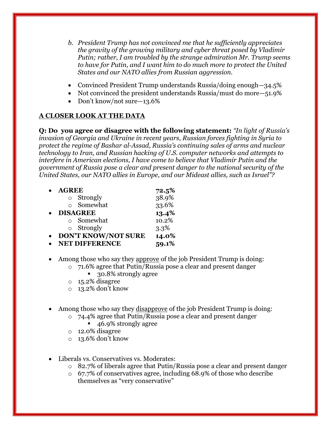- *b. President Trump has not convinced me that he sufficiently appreciates the gravity of the growing military and cyber threat posed by Vladimir Putin; rather, I am troubled by the strange admiration Mr. Trump seems to have for Putin, and I want him to do much more to protect the United States and our NATO allies from Russian aggression.*
- Convinced President Trump understands Russia/doing enough—34.5%
- Not convinced the president understands Russia/must do more –51.9%
- Don't know/not sure-13.6%

# **A CLOSER LOOK AT THE DATA**

**Q: Do you agree or disagree with the following statement:** *"In light of Russia's invasion of Georgia and Ukraine in recent years, Russian forces fighting in Syria to protect the regime of Bashar al-Assad, Russia's continuing sales of arms and nuclear technology to Iran, and Russian hacking of U.S. computer networks and attempts to interfere in American elections, I have come to believe that Vladimir Putin and the government of Russia pose a clear and present danger to the national security of the United States, our NATO allies in Europe, and our Mideast allies, such as Israel"?*

| <b>AGREE</b>               | 72.5% |
|----------------------------|-------|
| <b>o</b> Strongly          | 38.9% |
| o Somewhat                 | 33.6% |
| <b>DISAGREE</b>            | 13.4% |
| ○ Somewhat                 | 10.2% |
| $\circ$ Strongly           | 3.3%  |
| <b>DON'T KNOW/NOT SURE</b> | 14.0% |
| <b>NET DIFFERENCE</b>      | 59.1% |

- Among those who say they approve of the job President Trump is doing:
	- o 71.6% agree that Putin/Russia pose a clear and present danger
		- 30.8% strongly agree
	- o 15.2% disagree
	- o 13.2% don't know
- Among those who say they disapprove of the job President Trump is doing:
	- o 74.4% agree that Putin/Russia pose a clear and present danger
		- 46.9% strongly agree
	- o 12.0% disagree
	- o 13.6% don't know
- Liberals vs. Conservatives vs. Moderates:
	- o 82.7% of liberals agree that Putin/Russia pose a clear and present danger
	- o 67.7% of conservatives agree, including 68.9% of those who describe themselves as "very conservative"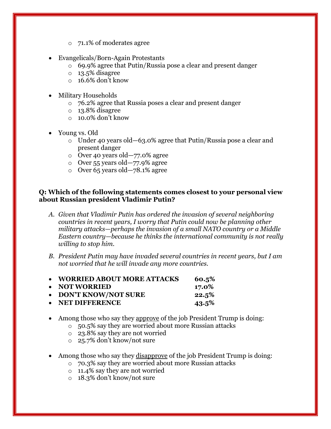- o 71.1% of moderates agree
- Evangelicals/Born-Again Protestants
	- o 69.9% agree that Putin/Russia pose a clear and present danger
	- o 13.5% disagree
	- $\circ$  16.6% don't know
- Military Households
	- o 76.2% agree that Russia poses a clear and present danger
	- o 13.8% disagree
	- $\circ$  10.0% don't know
- Young vs. Old
	- $\circ$  Under 40 years old -63.0% agree that Putin/Russia pose a clear and present danger
	- o Over 40 years old—77.0% agree
	- o Over 55 years old—77.9% agree
	- o Over 65 years old—78.1% agree

### **Q: Which of the following statements comes closest to your personal view about Russian president Vladimir Putin?**

- *A. Given that Vladimir Putin has ordered the invasion of several neighboring countries in recent years, I worry that Putin could now be planning other military attacks—perhaps the invasion of a small NATO country or a Middle Eastern country—because he thinks the international community is not really willing to stop him.*
- *B. President Putin may have invaded several countries in recent years, but I am not worried that he will invade any more countries.*

| • WORRIED ABOUT MORE ATTACKS | 60.5%    |
|------------------------------|----------|
| • NOT WORRIED                | 17.0%    |
| • DON'T KNOW/NOT SURE        | 22.5%    |
| • NET DIFFERENCE             | $43.5\%$ |

- Among those who say they approve of the job President Trump is doing:
	- o 50.5% say they are worried about more Russian attacks
	- o 23.8% say they are not worried
	- o 25.7% don't know/not sure
- Among those who say they disapprove of the job President Trump is doing:
	- o 70.3% say they are worried about more Russian attacks
	- o 11.4% say they are not worried
	- o 18.3% don't know/not sure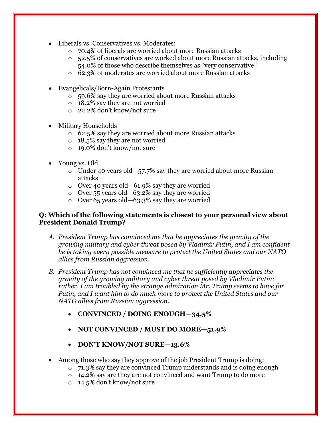- Liberals vs. Conservatives vs. Moderates:
	- o 70.4% of liberals are worried about more Russian attacks
	- o 52.5% of conservatives are worked about more Russian attacks, including 54.0% of those who describe themselves as "very conservative"
	- o 62.3% of moderates are worried about more Russian attacks
- Evangelicals/Born-Again Protestants
	- o 59.6% say they are worried about more Russian attacks
	- o 18.2% say they are not worried
	- o 22.2% don't know/not sure
- Military Households
	- o 62.5% say they are worried about more Russian attacks
	- o 18.5% say they are not worried
	- o 19.0% don't know/not sure
- Young vs. Old
	- o Under 40 years old—57.7% say they are worried about more Russian attacks
	- o Over 40 years old—61.9% say they are worried
	- o Over 55 years old—63.2% say they are worried
	- o Over 65 years old—63.3% say they are worried

## **Q: Which of the following statements is closest to your personal view about President Donald Trump?**

- *A. President Trump has convinced me that he appreciates the gravity of the growing military and cyber threat posed by Vladimir Putin, and I am confident he is taking every possible measure to protect the United States and our NATO allies from Russian aggression.*
- *B. President Trump has not convinced me that he sufficiently appreciates the gravity of the growing military and cyber threat posed by Vladimir Putin; rather, I am troubled by the strange admiration Mr. Trump seems to have for Putin, and I want him to do much more to protect the United States and our NATO allies from Russian aggression.*
	- **CONVINCED / DOING ENOUGH—34.5%**
	- **NOT CONVINCED / MUST DO MORE—51.9%**
	- **DON'T KNOW/NOT SURE—13.6%**
- Among those who say they approve of the job President Trump is doing:
	- o 71.3% say they are convinced Trump understands and is doing enough
	- o 14.2% say are they are not convinced and want Trump to do more
	- o 14.5% don't know/not sure